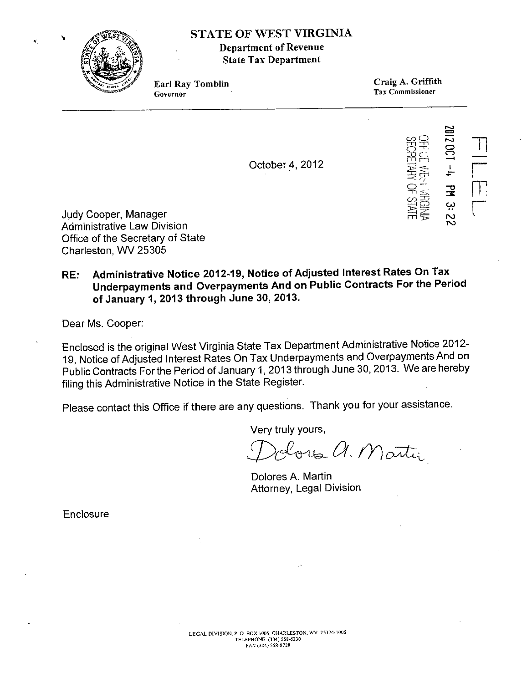

## STATE OF WEST VIRGINIA Department of Revenue State Tax Department

Earl Ray Tomblin Governor

Craig A, Griffith Tax Commissioner

October 4,2012



Judy Cooper, Manager Administrative Law Division Office of the Secretary of State Charleston, WV 25305

## RE: Administrative Notice 2012-19, Notice of Adjusted Interest Rates On Tax Underpayments and Overpayments And on Public Contracts For the Period of January 1, 2013 through June 30, 2013.

Dear Ms, Cooper:

Enclosed is the original West Virginia State Tax Department Administrative Notice 2012- 19, Notice of Adjusted Interest Rates On Tax Underpayments and Overpayments And on Public Contracts Forthe Period of January 1,2013 through June 30, 2013. We are hereby filing this Administrative Notice in the State Register.

Please contact this Office if there are any questions. Thank you for your assistance.

Very truly yours,

*!])(/l"YlJG;- Of,* III*o:;;L~~*

Dolores A. Martin Attorney, Legal Division

**Enclosure**